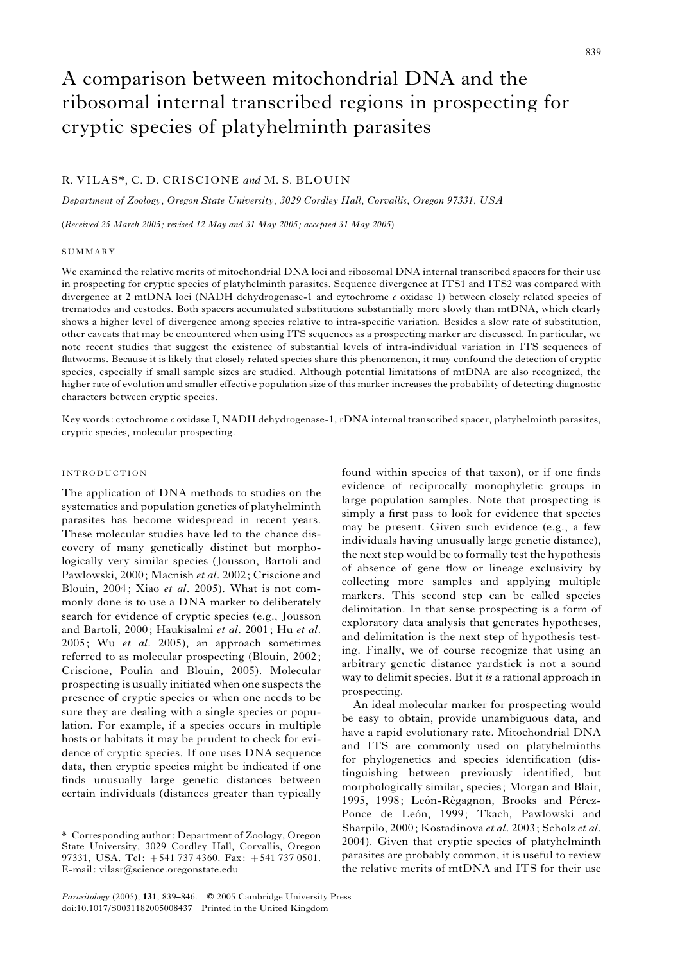# A comparison between mitochondrial DNA and the ribosomal internal transcribed regions in prospecting for cryptic species of platyhelminth parasites

## R. VILAS\*, C. D. CRISCIONE and M. S. BLOUIN

Department of Zoology, Oregon State University, 3029 Cordley Hall, Corvallis, Oregon 97331, USA

(Received 25 March 2005; revised 12 May and 31 May 2005; accepted 31 May 2005)

#### **SUMMARY**

We examined the relative merits of mitochondrial DNA loci and ribosomal DNA internal transcribed spacers for their use in prospecting for cryptic species of platyhelminth parasites. Sequence divergence at ITS1 and ITS2 was compared with divergence at 2 mtDNA loci (NADH dehydrogenase-1 and cytochrome c oxidase I) between closely related species of trematodes and cestodes. Both spacers accumulated substitutions substantially more slowly than mtDNA, which clearly shows a higher level of divergence among species relative to intra-specific variation. Besides a slow rate of substitution, other caveats that may be encountered when using ITS sequences as a prospecting marker are discussed. In particular, we note recent studies that suggest the existence of substantial levels of intra-individual variation in ITS sequences of flatworms. Because it is likely that closely related species share this phenomenon, it may confound the detection of cryptic species, especially if small sample sizes are studied. Although potential limitations of mtDNA are also recognized, the higher rate of evolution and smaller effective population size of this marker increases the probability of detecting diagnostic characters between cryptic species.

Key words: cytochrome c oxidase I, NADH dehydrogenase-1, rDNA internal transcribed spacer, platyhelminth parasites, cryptic species, molecular prospecting.

## INTRODUCTION

The application of DNA methods to studies on the systematics and population genetics of platyhelminth parasites has become widespread in recent years. These molecular studies have led to the chance discovery of many genetically distinct but morphologically very similar species (Jousson, Bartoli and Pawlowski, 2000; Macnish et al. 2002; Criscione and Blouin, 2004; Xiao et al. 2005). What is not commonly done is to use a DNA marker to deliberately search for evidence of cryptic species (e.g., Jousson and Bartoli, 2000; Haukisalmi et al. 2001; Hu et al. 2005; Wu et al. 2005), an approach sometimes referred to as molecular prospecting (Blouin, 2002; Criscione, Poulin and Blouin, 2005). Molecular prospecting is usually initiated when one suspects the presence of cryptic species or when one needs to be sure they are dealing with a single species or population. For example, if a species occurs in multiple hosts or habitats it may be prudent to check for evidence of cryptic species. If one uses DNA sequence data, then cryptic species might be indicated if one finds unusually large genetic distances between certain individuals (distances greater than typically

Parasitology (2005), 131, 839-846. © 2005 Cambridge University Press doi:10.1017/S0031182005008437 Printed in the United Kingdom

found within species of that taxon), or if one finds evidence of reciprocally monophyletic groups in large population samples. Note that prospecting is simply a first pass to look for evidence that species may be present. Given such evidence (e.g., a few individuals having unusually large genetic distance), the next step would be to formally test the hypothesis of absence of gene flow or lineage exclusivity by collecting more samples and applying multiple markers. This second step can be called species delimitation. In that sense prospecting is a form of exploratory data analysis that generates hypotheses, and delimitation is the next step of hypothesis testing. Finally, we of course recognize that using an arbitrary genetic distance yardstick is not a sound way to delimit species. But it is a rational approach in prospecting.

An ideal molecular marker for prospecting would be easy to obtain, provide unambiguous data, and have a rapid evolutionary rate. Mitochondrial DNA and ITS are commonly used on platyhelminths for phylogenetics and species identification (distinguishing between previously identified, but morphologically similar, species; Morgan and Blair, 1995, 1998; León-Règagnon, Brooks and Pérez-Ponce de León, 1999; Tkach, Pawlowski and Sharpilo, 2000; Kostadinova et al. 2003; Scholz et al. 2004). Given that cryptic species of platyhelminth parasites are probably common, it is useful to review the relative merits of mtDNA and ITS for their use

<sup>\*</sup> Corresponding author: Department of Zoology, Oregon State University, 3029 Cordley Hall, Corvallis, Oregon 97331, USA. Tel: +541 737 4360. Fax: +541 737 0501. E-mail: vilasr@science.oregonstate.edu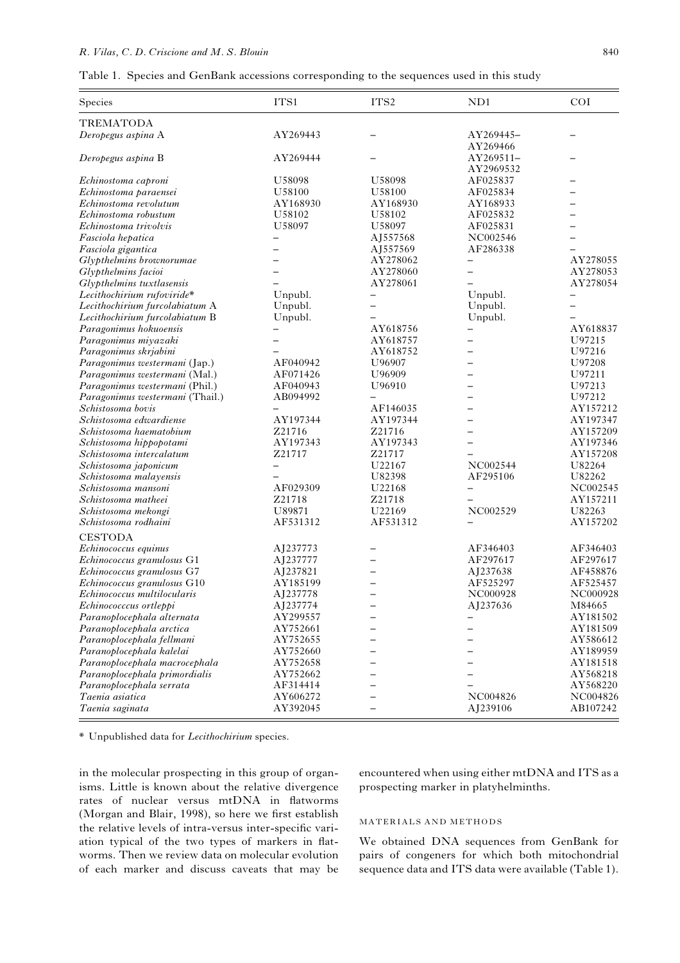### R. Vilas, C. D. Criscione and M. S. Blouin 840

| Table 1. Species and GenBank accessions corresponding to the sequences used in this study |  |  |  |  |  |  |  |  |  |  |
|-------------------------------------------------------------------------------------------|--|--|--|--|--|--|--|--|--|--|
|-------------------------------------------------------------------------------------------|--|--|--|--|--|--|--|--|--|--|

| <b>TREMATODA</b><br>AY269443<br>Deropegus aspina A<br>AY269445-<br>AY269466<br>AY269444<br>AY269511-<br>Deropegus aspina B<br>AY2969532<br>U58098<br>AF025837<br>U58098<br>Echinostoma caproni<br>U58100<br>U58100<br>AF025834<br>Echinostoma paraensei<br>Echinostoma revolutum<br>AY168930<br>AY168930<br>AY168933<br>U58102<br>U58102<br>AF025832<br>Echinostoma robustum<br>Echinostoma trivolvis<br>U58097<br>U58097<br>AF025831<br>NC002546<br>Fasciola hepatica<br>AJ557568<br>$\overline{\phantom{m}}$<br>AJ557569<br>AF286338<br>Fasciola gigantica<br>$\overline{\phantom{0}}$<br>Glypthelmins brownorumae<br>AY278062<br>$\overline{\phantom{0}}$<br>AY278060<br>Glypthelmins facioi<br>AY278061<br>Glypthelmins tuxtlasensis<br>Lecithochirium rufoviride*<br>Unpubl.<br>Unpubl.<br>- | Species                        | ITS1    | ITS <sub>2</sub> | ND1     | <b>COI</b> |
|---------------------------------------------------------------------------------------------------------------------------------------------------------------------------------------------------------------------------------------------------------------------------------------------------------------------------------------------------------------------------------------------------------------------------------------------------------------------------------------------------------------------------------------------------------------------------------------------------------------------------------------------------------------------------------------------------------------------------------------------------------------------------------------------------|--------------------------------|---------|------------------|---------|------------|
|                                                                                                                                                                                                                                                                                                                                                                                                                                                                                                                                                                                                                                                                                                                                                                                                   |                                |         |                  |         |            |
|                                                                                                                                                                                                                                                                                                                                                                                                                                                                                                                                                                                                                                                                                                                                                                                                   |                                |         |                  |         |            |
|                                                                                                                                                                                                                                                                                                                                                                                                                                                                                                                                                                                                                                                                                                                                                                                                   |                                |         |                  |         |            |
|                                                                                                                                                                                                                                                                                                                                                                                                                                                                                                                                                                                                                                                                                                                                                                                                   |                                |         |                  |         |            |
|                                                                                                                                                                                                                                                                                                                                                                                                                                                                                                                                                                                                                                                                                                                                                                                                   |                                |         |                  |         |            |
|                                                                                                                                                                                                                                                                                                                                                                                                                                                                                                                                                                                                                                                                                                                                                                                                   |                                |         |                  |         |            |
|                                                                                                                                                                                                                                                                                                                                                                                                                                                                                                                                                                                                                                                                                                                                                                                                   |                                |         |                  |         |            |
|                                                                                                                                                                                                                                                                                                                                                                                                                                                                                                                                                                                                                                                                                                                                                                                                   |                                |         |                  |         |            |
|                                                                                                                                                                                                                                                                                                                                                                                                                                                                                                                                                                                                                                                                                                                                                                                                   |                                |         |                  |         |            |
|                                                                                                                                                                                                                                                                                                                                                                                                                                                                                                                                                                                                                                                                                                                                                                                                   |                                |         |                  |         |            |
|                                                                                                                                                                                                                                                                                                                                                                                                                                                                                                                                                                                                                                                                                                                                                                                                   |                                |         |                  |         |            |
|                                                                                                                                                                                                                                                                                                                                                                                                                                                                                                                                                                                                                                                                                                                                                                                                   |                                |         |                  |         |            |
|                                                                                                                                                                                                                                                                                                                                                                                                                                                                                                                                                                                                                                                                                                                                                                                                   |                                |         |                  |         | AY278055   |
|                                                                                                                                                                                                                                                                                                                                                                                                                                                                                                                                                                                                                                                                                                                                                                                                   |                                |         |                  |         | AY278053   |
|                                                                                                                                                                                                                                                                                                                                                                                                                                                                                                                                                                                                                                                                                                                                                                                                   |                                |         |                  |         | AY278054   |
|                                                                                                                                                                                                                                                                                                                                                                                                                                                                                                                                                                                                                                                                                                                                                                                                   |                                |         |                  |         |            |
|                                                                                                                                                                                                                                                                                                                                                                                                                                                                                                                                                                                                                                                                                                                                                                                                   | Lecithochirium furcolabiatum A | Unpubl. |                  | Unpubl. |            |
| Unpubl.<br>Unpubl.<br>Lecithochirium furcolabiatum B                                                                                                                                                                                                                                                                                                                                                                                                                                                                                                                                                                                                                                                                                                                                              |                                |         |                  |         |            |
| Paragonimus hokuoensis<br>AY618756<br>$\overline{\phantom{0}}$                                                                                                                                                                                                                                                                                                                                                                                                                                                                                                                                                                                                                                                                                                                                    |                                |         |                  |         | AY618837   |
| AY618757<br>U97215<br>Paragonimus miyazaki                                                                                                                                                                                                                                                                                                                                                                                                                                                                                                                                                                                                                                                                                                                                                        |                                |         |                  |         |            |
| AY618752<br>U97216<br>Paragonimus skrjabini                                                                                                                                                                                                                                                                                                                                                                                                                                                                                                                                                                                                                                                                                                                                                       |                                |         |                  |         |            |
| AF040942<br>U97208<br>Paragonimus westermani (Jap.)<br>U96907<br>$\overline{\phantom{0}}$                                                                                                                                                                                                                                                                                                                                                                                                                                                                                                                                                                                                                                                                                                         |                                |         |                  |         |            |
| U96909<br>U97211<br>Paragonimus westermani (Mal.)<br>AF071426                                                                                                                                                                                                                                                                                                                                                                                                                                                                                                                                                                                                                                                                                                                                     |                                |         |                  |         |            |
| U97213<br>Paragonimus westermani (Phil.)<br>AF040943<br>U96910                                                                                                                                                                                                                                                                                                                                                                                                                                                                                                                                                                                                                                                                                                                                    |                                |         |                  |         |            |
| AB094992<br>U97212<br>Paragonimus westermani (Thail.)                                                                                                                                                                                                                                                                                                                                                                                                                                                                                                                                                                                                                                                                                                                                             |                                |         |                  |         |            |
| AF146035<br>Schistosoma bovis<br>$\overline{\phantom{0}}$                                                                                                                                                                                                                                                                                                                                                                                                                                                                                                                                                                                                                                                                                                                                         |                                |         |                  |         | AY157212   |
| AY197344<br>AY197344<br>Schistosoma edwardiense                                                                                                                                                                                                                                                                                                                                                                                                                                                                                                                                                                                                                                                                                                                                                   |                                |         |                  |         | AY197347   |
| Schistosoma haematobium<br>Z21716<br>Z21716                                                                                                                                                                                                                                                                                                                                                                                                                                                                                                                                                                                                                                                                                                                                                       |                                |         |                  |         | AY157209   |
| AY197343<br>AY197343<br>Schistosoma hippopotami<br>$\overline{\phantom{0}}$                                                                                                                                                                                                                                                                                                                                                                                                                                                                                                                                                                                                                                                                                                                       |                                |         |                  |         | AY197346   |
| Z21717<br>Schistosoma intercalatum<br>Z21717                                                                                                                                                                                                                                                                                                                                                                                                                                                                                                                                                                                                                                                                                                                                                      |                                |         |                  |         | AY157208   |
| NC002544<br>U22167<br>U82264<br>Schistosoma japonicum                                                                                                                                                                                                                                                                                                                                                                                                                                                                                                                                                                                                                                                                                                                                             |                                |         |                  |         |            |
| U82398<br>AF295106<br>U82262<br>Schistosoma malayensis                                                                                                                                                                                                                                                                                                                                                                                                                                                                                                                                                                                                                                                                                                                                            |                                |         |                  |         |            |
| AF029309<br>U22168<br>Schistosoma mansoni<br>$\qquad \qquad -$                                                                                                                                                                                                                                                                                                                                                                                                                                                                                                                                                                                                                                                                                                                                    |                                |         |                  |         | NC002545   |
| Z21718<br>Z21718<br>Schistosoma matheei                                                                                                                                                                                                                                                                                                                                                                                                                                                                                                                                                                                                                                                                                                                                                           |                                |         |                  |         | AY157211   |
| NC002529<br>U89871<br>U22169<br>U82263<br>Schistosoma mekongi                                                                                                                                                                                                                                                                                                                                                                                                                                                                                                                                                                                                                                                                                                                                     |                                |         |                  |         |            |
| AF531312<br>Schistosoma rodhaini<br>AF531312                                                                                                                                                                                                                                                                                                                                                                                                                                                                                                                                                                                                                                                                                                                                                      |                                |         |                  |         | AY157202   |
| <b>CESTODA</b>                                                                                                                                                                                                                                                                                                                                                                                                                                                                                                                                                                                                                                                                                                                                                                                    |                                |         |                  |         |            |
| Echinococcus equinus<br>AJ237773<br>AF346403                                                                                                                                                                                                                                                                                                                                                                                                                                                                                                                                                                                                                                                                                                                                                      |                                |         |                  |         | AF346403   |
| AF297617<br>Echinococcus granulosus G1<br>AJ237777                                                                                                                                                                                                                                                                                                                                                                                                                                                                                                                                                                                                                                                                                                                                                |                                |         |                  |         | AF297617   |
| Echinococcus granulosus G7<br>AJ237821<br>AJ237638                                                                                                                                                                                                                                                                                                                                                                                                                                                                                                                                                                                                                                                                                                                                                |                                |         |                  |         | AF458876   |
| Echinococcus granulosus G10<br>AY185199<br>AF525297                                                                                                                                                                                                                                                                                                                                                                                                                                                                                                                                                                                                                                                                                                                                               |                                |         |                  |         | AF525457   |
| NC000928<br>Echinococcus multilocularis<br>AJ237778                                                                                                                                                                                                                                                                                                                                                                                                                                                                                                                                                                                                                                                                                                                                               |                                |         |                  |         | NC000928   |
| Echinococccus ortleppi<br>AJ237774<br>AJ237636<br>M84665                                                                                                                                                                                                                                                                                                                                                                                                                                                                                                                                                                                                                                                                                                                                          |                                |         |                  |         |            |
| AY299557<br>Paranoplocephala alternata                                                                                                                                                                                                                                                                                                                                                                                                                                                                                                                                                                                                                                                                                                                                                            |                                |         |                  |         | AY181502   |
| AY752661<br>Paranoplocephala arctica                                                                                                                                                                                                                                                                                                                                                                                                                                                                                                                                                                                                                                                                                                                                                              |                                |         |                  |         | AY181509   |
| AY752655<br>Paranoplocephala fellmani                                                                                                                                                                                                                                                                                                                                                                                                                                                                                                                                                                                                                                                                                                                                                             |                                |         |                  |         | AY586612   |
| AY752660<br>Paranoplocephala kalelai                                                                                                                                                                                                                                                                                                                                                                                                                                                                                                                                                                                                                                                                                                                                                              |                                |         |                  |         | AY189959   |
| AY752658<br>Paranoplocephala macrocephala                                                                                                                                                                                                                                                                                                                                                                                                                                                                                                                                                                                                                                                                                                                                                         |                                |         |                  |         | AY181518   |
| AY752662<br>Paranoplocephala primordialis                                                                                                                                                                                                                                                                                                                                                                                                                                                                                                                                                                                                                                                                                                                                                         |                                |         |                  |         | AY568218   |
| Paranoplocephala serrata<br>AF314414                                                                                                                                                                                                                                                                                                                                                                                                                                                                                                                                                                                                                                                                                                                                                              |                                |         |                  |         | AY568220   |
| NC004826<br>Taenia asiatica<br>AY606272                                                                                                                                                                                                                                                                                                                                                                                                                                                                                                                                                                                                                                                                                                                                                           |                                |         |                  |         | NC004826   |
| AY392045<br>AJ239106<br>Taenia saginata                                                                                                                                                                                                                                                                                                                                                                                                                                                                                                                                                                                                                                                                                                                                                           |                                |         |                  |         | AB107242   |

\* Unpublished data for Lecithochirium species.

in the molecular prospecting in this group of organisms. Little is known about the relative divergence rates of nuclear versus mtDNA in flatworms (Morgan and Blair, 1998), so here we first establish the relative levels of intra-versus inter-specific variation typical of the two types of markers in flatworms. Then we review data on molecular evolution of each marker and discuss caveats that may be encountered when using either mtDNA and ITS as a prospecting marker in platyhelminths.

#### MATERIALS AND METHODS

We obtained DNA sequences from GenBank for pairs of congeners for which both mitochondrial sequence data and ITS data were available (Table 1).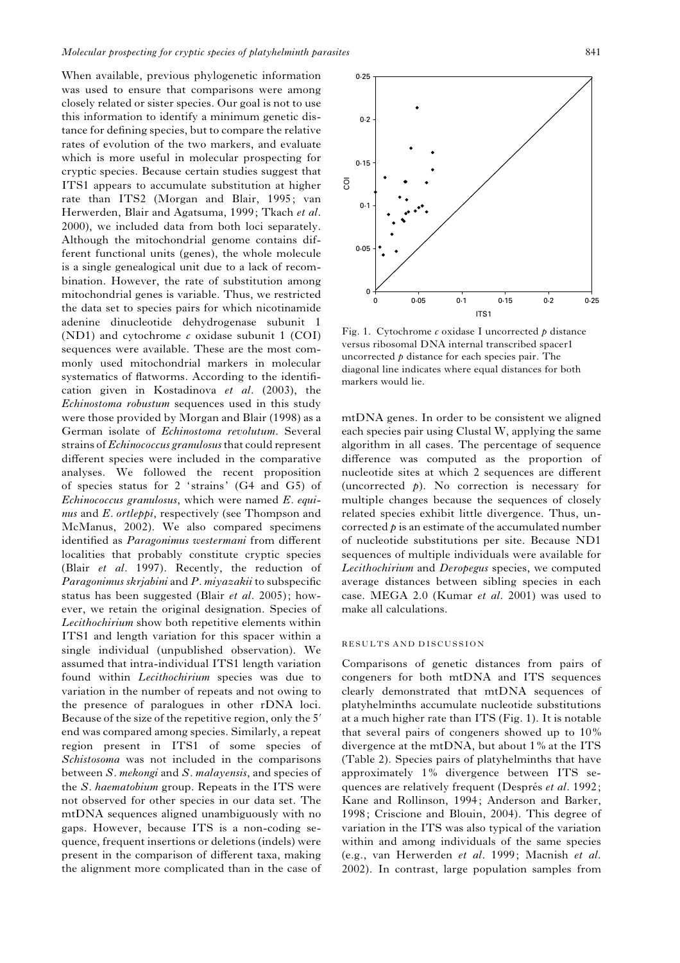When available, previous phylogenetic information was used to ensure that comparisons were among closely related or sister species. Our goal is not to use this information to identify a minimum genetic distance for defining species, but to compare the relative rates of evolution of the two markers, and evaluate which is more useful in molecular prospecting for cryptic species. Because certain studies suggest that ITS1 appears to accumulate substitution at higher rate than ITS2 (Morgan and Blair, 1995; van Herwerden, Blair and Agatsuma, 1999; Tkach et al. 2000), we included data from both loci separately. Although the mitochondrial genome contains different functional units (genes), the whole molecule is a single genealogical unit due to a lack of recombination. However, the rate of substitution among mitochondrial genes is variable. Thus, we restricted the data set to species pairs for which nicotinamide adenine dinucleotide dehydrogenase subunit 1 (ND1) and cytochrome  $\epsilon$  oxidase subunit 1 (COI) sequences were available. These are the most commonly used mitochondrial markers in molecular systematics of flatworms. According to the identification given in Kostadinova et al. (2003), the Echinostoma robustum sequences used in this study were those provided by Morgan and Blair (1998) as a German isolate of Echinostoma revolutum. Several strains of *Echinococcus granulosus* that could represent different species were included in the comparative analyses. We followed the recent proposition of species status for 2 'strains' (G4 and G5) of Echinococcus granulosus, which were named E. equinus and E. *ortleppi*, respectively (see Thompson and McManus, 2002). We also compared specimens identified as *Paragonimus westermani* from different localities that probably constitute cryptic species (Blair et al. 1997). Recently, the reduction of Paragonimus skrjabini and P. miyazakii to subspecific status has been suggested (Blair et al. 2005); however, we retain the original designation. Species of Lecithochirium show both repetitive elements within ITS1 and length variation for this spacer within a single individual (unpublished observation). We assumed that intra-individual ITS1 length variation found within Lecithochirium species was due to variation in the number of repeats and not owing to the presence of paralogues in other rDNA loci. Because of the size of the repetitive region, only the 5' end was compared among species. Similarly, a repeat region present in ITS1 of some species of Schistosoma was not included in the comparisons between S. mekongi and S. malayensis, and species of the S. haematobium group. Repeats in the ITS were not observed for other species in our data set. The mtDNA sequences aligned unambiguously with no gaps. However, because ITS is a non-coding sequence, frequent insertions or deletions (indels) were present in the comparison of different taxa, making the alignment more complicated than in the case of



Fig. 1. Cytochrome  $c$  oxidase I uncorrected  $\phi$  distance versus ribosomal DNA internal transcribed spacer1 uncorrected  $p$  distance for each species pair. The diagonal line indicates where equal distances for both markers would lie.

mtDNA genes. In order to be consistent we aligned each species pair using Clustal W, applying the same algorithm in all cases. The percentage of sequence difference was computed as the proportion of nucleotide sites at which 2 sequences are different (uncorrected  $p$ ). No correction is necessary for multiple changes because the sequences of closely related species exhibit little divergence. Thus, uncorrected  $p$  is an estimate of the accumulated number of nucleotide substitutions per site. Because ND1 sequences of multiple individuals were available for Lecithochirium and Deropegus species, we computed average distances between sibling species in each case. MEGA 2.0 (Kumar et al. 2001) was used to make all calculations.

### RESULTS AND DISCUSSION

Comparisons of genetic distances from pairs of congeners for both mtDNA and ITS sequences clearly demonstrated that mtDNA sequences of platyhelminths accumulate nucleotide substitutions at a much higher rate than ITS (Fig. 1). It is notable that several pairs of congeners showed up to 10% divergence at the mtDNA, but about 1% at the ITS (Table 2). Species pairs of platyhelminths that have approximately 1% divergence between ITS sequences are relatively frequent (Després et al. 1992; Kane and Rollinson, 1994; Anderson and Barker, 1998; Criscione and Blouin, 2004). This degree of variation in the ITS was also typical of the variation within and among individuals of the same species (e.g., van Herwerden et al. 1999; Macnish et al. 2002). In contrast, large population samples from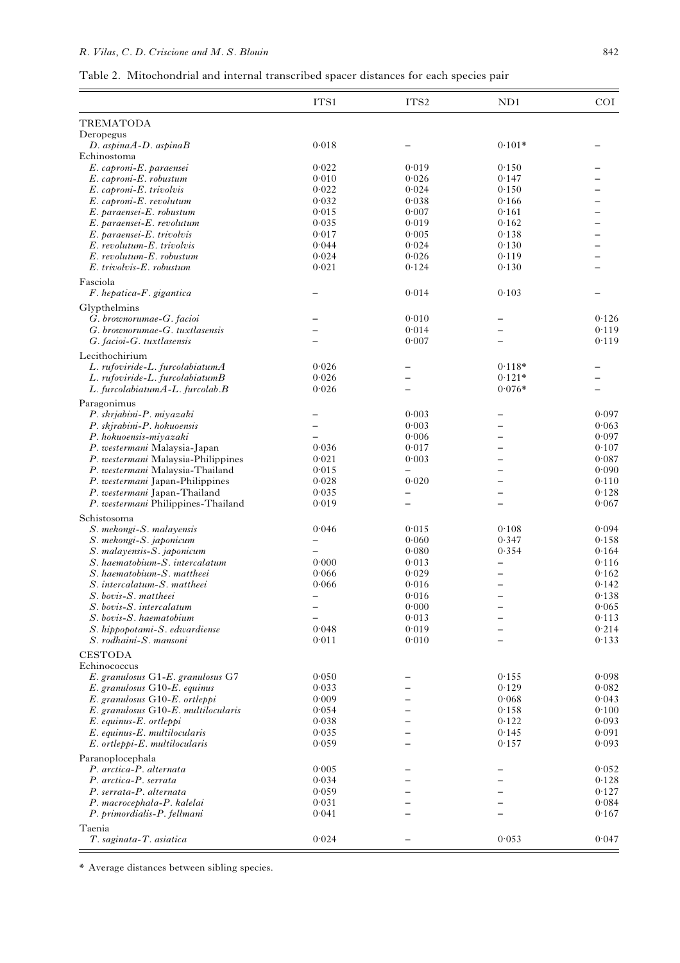# R. Vilas, C. D. Criscione and M. S. Blouin 842

| Table 2. Mitochondrial and internal transcribed spacer distances for each species pair |  |  |  |  |  |
|----------------------------------------------------------------------------------------|--|--|--|--|--|
|                                                                                        |  |  |  |  |  |

|                                                                   | ITS1           | ITS <sub>2</sub>         | ND1                  | COI            |
|-------------------------------------------------------------------|----------------|--------------------------|----------------------|----------------|
| <b>TREMATODA</b>                                                  |                |                          |                      |                |
| Deropegus                                                         |                |                          |                      |                |
| $D.$ aspina $A$ - $D.$ aspina $B$<br>Echinostoma                  | 0.018          |                          | $0.101*$             |                |
| E. caproni-E. paraensei                                           | 0.022          | 0.019                    | 0.150                |                |
| $E.$ caproni- $E.$ robustum                                       | 0.010          | 0.026                    | 0.147                |                |
| E. caproni-E. trivolvis                                           | 0.022          | 0.024                    | 0.150                |                |
| E. caproni-E. revolutum                                           | 0.032          | 0.038                    | 0.166                |                |
| E. paraensei-E. robustum                                          | 0.015          | 0.007                    | 0.161                |                |
| E. paraensei-E. revolutum<br>E. paraensei-E. trivolvis            | 0.035<br>0.017 | 0.019<br>0.005           | 0.162<br>0.138       |                |
| E. revolutum-E. trivolvis                                         | 0.044          | 0.024                    | 0.130                |                |
| E. revolutum-E. robustum                                          | 0.024          | 0.026                    | 0.119                |                |
| E. trivolvis-E. robustum                                          | 0.021          | 0.124                    | 0.130                |                |
| Fasciola                                                          |                |                          |                      |                |
| F. hepatica-F. gigantica                                          |                | 0.014                    | 0.103                |                |
| Glypthelmins                                                      |                |                          |                      |                |
| G. brownorumae-G. facioi                                          |                | 0.010                    |                      | 0.126          |
| G. brownorumae-G. tuxtlasensis                                    |                | 0.014                    |                      | 0.119          |
| G. facioi-G. tuxtlasensis                                         |                | 0.007                    |                      | 0.119          |
| Lecithochirium                                                    |                |                          |                      |                |
| L. rufoviride-L. furcolabiatumA                                   | 0.026          | -                        | $0.118*$             |                |
| L. rufoviride-L. furcolabiatumB                                   | 0.026<br>0.026 | $\overline{\phantom{0}}$ | $0.121*$<br>$0.076*$ |                |
| L. furcolabiatumA-L. furcolab.B                                   |                |                          |                      |                |
| Paragonimus                                                       |                | 0.003                    |                      | 0.097          |
| P. skrjabini-P. miyazaki<br>P. skjrabini-P. hokuoensis            |                | 0.003                    |                      | 0.063          |
| P. hokuoensis-miyazaki                                            |                | 0.006                    |                      | 0.097          |
| P. westermani Malaysia-Japan                                      | 0.036          | 0.017                    |                      | 0.107          |
| P. westermani Malaysia-Philippines                                | 0.021          | 0.003                    |                      | 0.087          |
| P. westermani Malaysia-Thailand                                   | 0.015          |                          |                      | 0.090          |
| P. westermani Japan-Philippines                                   | 0.028          | 0.020                    |                      | 0.110          |
| P. westermani Japan-Thailand                                      | 0.035          |                          |                      | 0.128          |
| P. westermani Philippines-Thailand                                | 0.019          |                          |                      | 0.067          |
| Schistosoma                                                       |                |                          |                      |                |
| S. mekongi-S. malayensis                                          | 0.046          | 0.015                    | 0.108                | 0.094          |
| S. mekongi-S. japonicum<br>S. malayensis-S. japonicum             |                | 0.060<br>0.080           | 0.347<br>0.354       | 0.158<br>0.164 |
| S. haematobium-S. intercalatum                                    | 0.000          | 0.013                    |                      | 0.116          |
| S. haematobium-S. mattheei                                        | 0.066          | 0.029                    |                      | 0.162          |
| S. intercalatum-S. mattheei                                       | 0.066          | 0.016                    |                      | 0.142          |
| S. bovis-S. mattheei                                              |                | 0.016                    |                      | 0.138          |
| S. bovis-S. intercalatum                                          |                | 0.000                    |                      | 0.065          |
| S. bovis-S. haematobium                                           |                | 0.013                    |                      | 0.113          |
| S. hippopotami-S. edwardiense                                     | 0.048          | 0.019                    |                      | 0.214          |
| S. rodhaini-S. mansoni                                            | 0.011          | 0.010                    |                      | 0.133          |
| <b>CESTODA</b>                                                    |                |                          |                      |                |
| Echinococcus                                                      | 0.050          |                          | 0.155                | 0.098          |
| E. granulosus G1-E. granulosus G7<br>E. granulosus G10-E. equinus | 0.033          |                          | 0.129                | 0.082          |
| E. granulosus G10-E. ortleppi                                     | 0.009          |                          | 0.068                | 0.043          |
| E. granulosus G10-E. multilocularis                               | 0.054          |                          | 0.158                | 0.100          |
| $E.$ equinus- $E.$ ortleppi                                       | 0.038          |                          | 0.122                | 0.093          |
| $E.$ equinus- $E.$ multilocularis                                 | 0.035          |                          | 0.145                | 0.091          |
| $E.$ ortleppi- $E.$ multilocularis                                | 0.059          |                          | 0.157                | 0.093          |
| Paranoplocephala                                                  |                |                          |                      |                |
| P. arctica-P. alternata                                           | 0.005          |                          |                      | 0.052          |
| P. arctica-P. serrata                                             | 0.034          |                          |                      | 0.128          |
| P. serrata-P. alternata<br>P. macrocephala-P. kalelai             | 0.059<br>0.031 |                          |                      | 0.127<br>0.084 |
| P. primordialis-P. fellmani                                       | 0.041          |                          |                      | 0.167          |
| Taenia                                                            |                |                          |                      |                |
| T. saginata-T. asiatica                                           | 0.024          |                          | 0.053                | 0.047          |
|                                                                   |                |                          |                      |                |

\* Average distances between sibling species.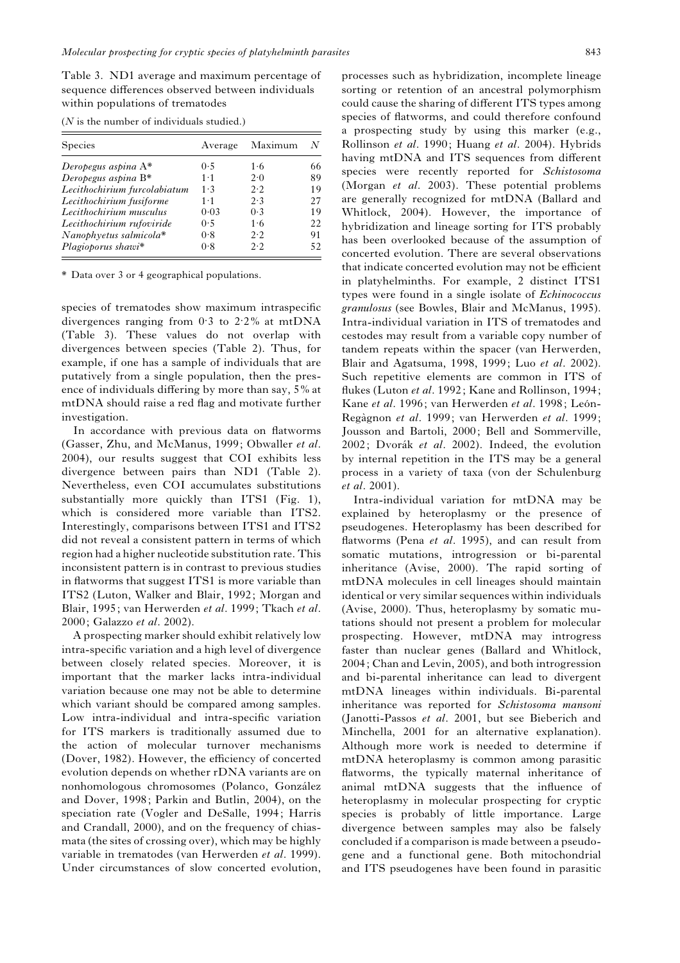Table 3. ND1 average and maximum percentage of sequence differences observed between individuals within populations of trematodes

| <b>Species</b>               | Average     | Maximum    | N   |
|------------------------------|-------------|------------|-----|
| Deropegus aspina $A^*$       | 0.5         | 1.6        | 66  |
| Deropegus aspina $B^*$       | $1 \cdot 1$ | $2\cdot 0$ | 89  |
| Lecithochirium furcolabiatum | $1 \cdot 3$ | 2.2        | 19  |
| Lecithochirium fusiforme     | $1 \cdot 1$ | 2.3        | 27  |
| Lecithochirium musculus      | 0.03        | 0.3        | 19  |
| Lecithochirium rufoviride    | 0.5         | 1·6        | 22. |
| Nanophyetus salmicola*       | 0.8         | 2.2        | 91  |
| Plagioporus shawi*           | 0.8         | 2.2        | 52  |

 $(N$  is the number of individuals studied.)

\* Data over 3 or 4 geographical populations.

species of trematodes show maximum intraspecific divergences ranging from  $0.3$  to  $2.2\%$  at mtDNA (Table 3). These values do not overlap with divergences between species (Table 2). Thus, for example, if one has a sample of individuals that are putatively from a single population, then the presence of individuals differing by more than say, 5% at mtDNA should raise a red flag and motivate further investigation.

In accordance with previous data on flatworms (Gasser, Zhu, and McManus, 1999; Obwaller et al. 2004), our results suggest that COI exhibits less divergence between pairs than ND1 (Table 2). Nevertheless, even COI accumulates substitutions substantially more quickly than ITS1 (Fig. 1), which is considered more variable than ITS2. Interestingly, comparisons between ITS1 and ITS2 did not reveal a consistent pattern in terms of which region had a higher nucleotide substitution rate. This inconsistent pattern is in contrast to previous studies in flatworms that suggest ITS1 is more variable than ITS2 (Luton, Walker and Blair, 1992; Morgan and Blair, 1995; van Herwerden et al. 1999; Tkach et al. 2000; Galazzo et al. 2002).

A prospecting marker should exhibit relatively low intra-specific variation and a high level of divergence between closely related species. Moreover, it is important that the marker lacks intra-individual variation because one may not be able to determine which variant should be compared among samples. Low intra-individual and intra-specific variation for ITS markers is traditionally assumed due to the action of molecular turnover mechanisms (Dover, 1982). However, the efficiency of concerted evolution depends on whether rDNA variants are on nonhomologous chromosomes (Polanco, González and Dover, 1998; Parkin and Butlin, 2004), on the speciation rate (Vogler and DeSalle, 1994; Harris and Crandall, 2000), and on the frequency of chiasmata (the sites of crossing over), which may be highly variable in trematodes (van Herwerden et al. 1999). Under circumstances of slow concerted evolution,

processes such as hybridization, incomplete lineage sorting or retention of an ancestral polymorphism could cause the sharing of different ITS types among species of flatworms, and could therefore confound a prospecting study by using this marker (e.g., Rollinson et al. 1990; Huang et al. 2004). Hybrids having mtDNA and ITS sequences from different species were recently reported for Schistosoma (Morgan et al. 2003). These potential problems are generally recognized for mtDNA (Ballard and Whitlock, 2004). However, the importance of hybridization and lineage sorting for ITS probably has been overlooked because of the assumption of concerted evolution. There are several observations that indicate concerted evolution may not be efficient in platyhelminths. For example, 2 distinct ITS1 types were found in a single isolate of Echinococcus granulosus (see Bowles, Blair and McManus, 1995). Intra-individual variation in ITS of trematodes and cestodes may result from a variable copy number of tandem repeats within the spacer (van Herwerden, Blair and Agatsuma, 1998, 1999; Luo et al. 2002). Such repetitive elements are common in ITS of flukes (Luton et al. 1992; Kane and Rollinson, 1994; Kane et al. 1996; van Herwerden et al. 1998; León-Regàgnon et al. 1999; van Herwerden et al. 1999; Jousson and Bartoli, 2000; Bell and Sommerville, 2002; Dvorák et al. 2002). Indeed, the evolution by internal repetition in the ITS may be a general process in a variety of taxa (von der Schulenburg et al. 2001).

Intra-individual variation for mtDNA may be explained by heteroplasmy or the presence of pseudogenes. Heteroplasmy has been described for flatworms (Pena et al. 1995), and can result from somatic mutations, introgression or bi-parental inheritance (Avise, 2000). The rapid sorting of mtDNA molecules in cell lineages should maintain identical or very similar sequences within individuals (Avise, 2000). Thus, heteroplasmy by somatic mutations should not present a problem for molecular prospecting. However, mtDNA may introgress faster than nuclear genes (Ballard and Whitlock, 2004; Chan and Levin, 2005), and both introgression and bi-parental inheritance can lead to divergent mtDNA lineages within individuals. Bi-parental inheritance was reported for Schistosoma mansoni (Janotti-Passos et al. 2001, but see Bieberich and Minchella, 2001 for an alternative explanation). Although more work is needed to determine if mtDNA heteroplasmy is common among parasitic flatworms, the typically maternal inheritance of animal mtDNA suggests that the influence of heteroplasmy in molecular prospecting for cryptic species is probably of little importance. Large divergence between samples may also be falsely concluded if a comparison is made between a pseudogene and a functional gene. Both mitochondrial and ITS pseudogenes have been found in parasitic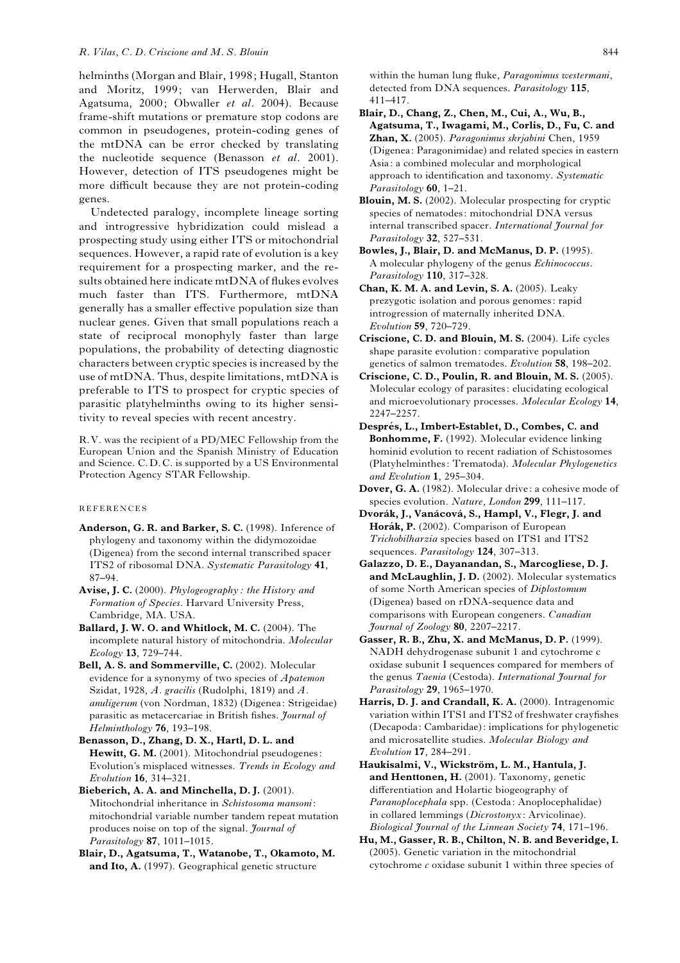#### R. Vilas, C. D. Criscione and M. S. Blouin 644

helminths (Morgan and Blair, 1998; Hugall, Stanton and Moritz, 1999; van Herwerden, Blair and Agatsuma, 2000; Obwaller et al. 2004). Because frame-shift mutations or premature stop codons are common in pseudogenes, protein-coding genes of the mtDNA can be error checked by translating the nucleotide sequence (Benasson  $et$  al. 2001). However, detection of ITS pseudogenes might be more difficult because they are not protein-coding genes.

Undetected paralogy, incomplete lineage sorting and introgressive hybridization could mislead a prospecting study using either ITS or mitochondrial sequences. However, a rapid rate of evolution is a key requirement for a prospecting marker, and the results obtained here indicate mtDNA of flukes evolves much faster than ITS. Furthermore, mtDNA generally has a smaller effective population size than nuclear genes. Given that small populations reach a state of reciprocal monophyly faster than large populations, the probability of detecting diagnostic characters between cryptic species is increased by the use of mtDNA. Thus, despite limitations, mtDNA is preferable to ITS to prospect for cryptic species of parasitic platyhelminths owing to its higher sensitivity to reveal species with recent ancestry.

R.V. was the recipient of a PD/MEC Fellowship from the European Union and the Spanish Ministry of Education and Science. C.D.C. is supported by a US Environmental Protection Agency STAR Fellowship.

### REFERENCES

- Anderson, G. R. and Barker, S. C. (1998). Inference of phylogeny and taxonomy within the didymozoidae (Digenea) from the second internal transcribed spacer ITS2 of ribosomal DNA. Systematic Parasitology 41, 87–94.
- Avise, J. C. (2000). Phylogeography : the History and Formation of Species. Harvard University Press, Cambridge, MA. USA.
- Ballard, J. W. O. and Whitlock, M. C. (2004). The incomplete natural history of mitochondria. Molecular Ecology 13, 729–744.
- Bell, A. S. and Sommerville, C. (2002). Molecular evidence for a synonymy of two species of Apatemon Szidat, 1928, A. gracilis (Rudolphi, 1819) and A. anuligerum (von Nordman, 1832) (Digenea: Strigeidae) parasitic as metacercariae in British fishes. Journal of Helminthology 76, 193–198.
- Benasson, D., Zhang, D. X., Hartl, D. L. and Hewitt, G. M. (2001). Mitochondrial pseudogenes: Evolution's misplaced witnesses. Trends in Ecology and Evolution 16, 314–321.
- Bieberich, A. A. and Minchella, D. J. (2001). Mitochondrial inheritance in Schistosoma mansoni: mitochondrial variable number tandem repeat mutation produces noise on top of the signal. Journal of Parasitology 87, 1011–1015.
- Blair, D., Agatsuma, T., Watanobe, T., Okamoto, M. and Ito, A. (1997). Geographical genetic structure

within the human lung fluke, Paragonimus westermani, detected from DNA sequences. Parasitology 115, 411–417.

Blair, D., Chang, Z., Chen, M., Cui, A., Wu, B., Agatsuma, T., Iwagami, M., Corlis, D., Fu, C. and Zhan, X. (2005). Paragonimus skrjabini Chen, 1959 (Digenea: Paragonimidae) and related species in eastern Asia: a combined molecular and morphological approach to identification and taxonomy. Systematic Parasitology 60, 1-21.

Blouin, M. S. (2002). Molecular prospecting for cryptic species of nematodes: mitochondrial DNA versus internal transcribed spacer. International Journal for Parasitology 32, 527–531.

- Bowles, J., Blair, D. and McManus, D. P. (1995). A molecular phylogeny of the genus Echinococcus. Parasitology 110, 317-328.
- Chan, K. M. A. and Levin, S. A. (2005). Leaky prezygotic isolation and porous genomes: rapid introgression of maternally inherited DNA. Evolution 59, 720–729.
- Criscione, C. D. and Blouin, M. S. (2004). Life cycles shape parasite evolution: comparative population genetics of salmon trematodes. Evolution 58, 198–202.
- Criscione, C. D., Poulin, R. and Blouin, M. S. (2005). Molecular ecology of parasites: elucidating ecological and microevolutionary processes. Molecular Ecology 14, 2247–2257.
- Després, L., Imbert-Establet, D., Combes, C. and Bonhomme, F. (1992). Molecular evidence linking hominid evolution to recent radiation of Schistosomes (Platyhelminthes: Trematoda). Molecular Phylogenetics and Evolution 1, 295–304.
- Dover, G. A. (1982). Molecular drive: a cohesive mode of species evolution. Nature, London 299, 111-117.
- Dvorák, J., Vanácová, S., Hampl, V., Flegr, J. and Horák, P. (2002). Comparison of European Trichobilharzia species based on ITS1 and ITS2 sequences. Parasitology 124, 307-313.
- Galazzo, D. E., Dayanandan, S., Marcogliese, D. J. and McLaughlin, J. D. (2002). Molecular systematics of some North American species of Diplostomum (Digenea) based on rDNA-sequence data and comparisons with European congeners. Canadian Journal of Zoology 80, 2207–2217.
- Gasser, R. B., Zhu, X. and McManus, D. P. (1999). NADH dehydrogenase subunit 1 and cytochrome c oxidase subunit I sequences compared for members of the genus Taenia (Cestoda). International Journal for Parasitology 29, 1965–1970.
- Harris, D. J. and Crandall, K. A. (2000). Intragenomic variation within ITS1 and ITS2 of freshwater crayfishes (Decapoda: Cambaridae): implications for phylogenetic and microsatellite studies. Molecular Biology and Evolution 17, 284–291.
- Haukisalmi, V., Wickström, L. M., Hantula, J. and Henttonen, H. (2001). Taxonomy, genetic differentiation and Holartic biogeography of Paranoplocephala spp. (Cestoda: Anoplocephalidae) in collared lemmings (Dicrostonyx: Arvicolinae). Biological Journal of the Linnean Society 74, 171–196.
- Hu, M., Gasser, R. B., Chilton, N. B. and Beveridge, I. (2005). Genetic variation in the mitochondrial cytochrome  $c$  oxidase subunit 1 within three species of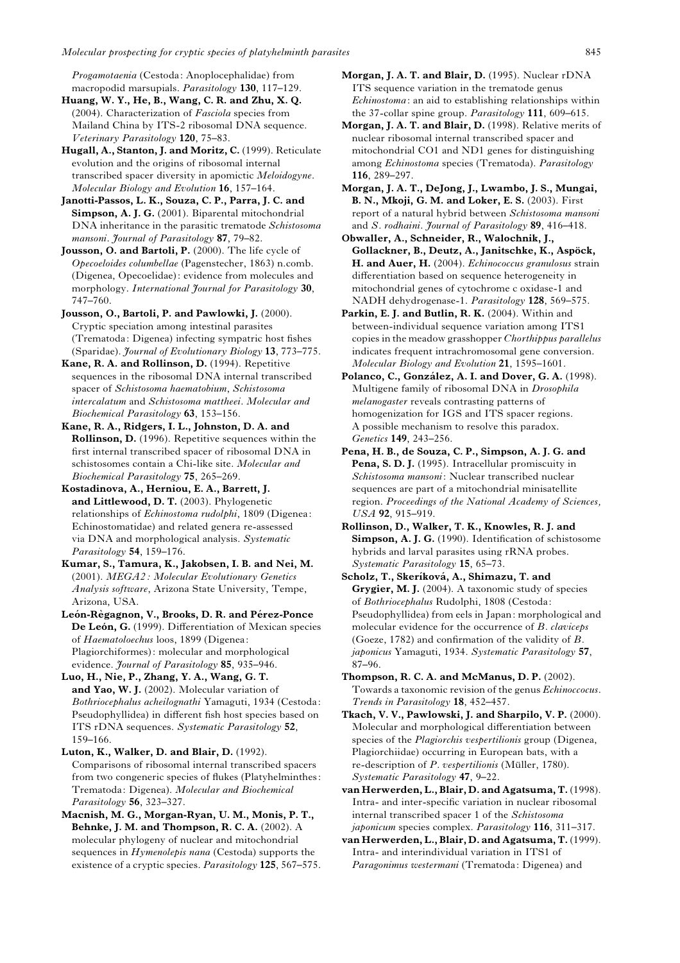Progamotaenia (Cestoda: Anoplocephalidae) from macropodid marsupials. Parasitology 130, 117–129.

Huang, W. Y., He, B., Wang, C. R. and Zhu, X. Q. (2004). Characterization of Fasciola species from Mailand China by ITS-2 ribosomal DNA sequence. Veterinary Parasitology 120, 75–83.

Hugall, A., Stanton, J. and Moritz, C. (1999). Reticulate evolution and the origins of ribosomal internal transcribed spacer diversity in apomictic Meloidogyne. Molecular Biology and Evolution 16, 157–164.

Janotti-Passos, L. K., Souza, C. P., Parra, J. C. and Simpson, A. J. G. (2001). Biparental mitochondrial DNA inheritance in the parasitic trematode Schistosoma mansoni. Journal of Parasitology 87, 79-82.

Jousson, O. and Bartoli, P. (2000). The life cycle of Opecoeloides columbellae (Pagenstecher, 1863) n.comb. (Digenea, Opecoelidae): evidence from molecules and morphology. International Journal for Parasitology 30, 747–760.

Jousson, O., Bartoli, P. and Pawlowki, J. (2000). Cryptic speciation among intestinal parasites (Trematoda: Digenea) infecting sympatric host fishes (Sparidae). Journal of Evolutionary Biology 13, 773–775.

Kane, R. A. and Rollinson, D. (1994). Repetitive sequences in the ribosomal DNA internal transcribed spacer of Schistosoma haematobium, Schistosoma intercalatum and Schistosoma mattheei. Molecular and Biochemical Parasitology 63, 153–156.

Kane, R. A., Ridgers, I. L., Johnston, D. A. and Rollinson, D. (1996). Repetitive sequences within the first internal transcribed spacer of ribosomal DNA in schistosomes contain a Chi-like site. Molecular and Biochemical Parasitology 75, 265–269.

Kostadinova, A., Herniou, E. A., Barrett, J. and Littlewood, D. T. (2003). Phylogenetic relationships of *Echinostoma rudolphi*, 1809 (Digenea: Echinostomatidae) and related genera re-assessed via DNA and morphological analysis. Systematic Parasitology 54, 159-176.

Kumar, S., Tamura, K., Jakobsen, I. B. and Nei, M. (2001). MEGA2: Molecular Evolutionary Genetics Analysis software, Arizona State University, Tempe, Arizona, USA.

León-Règagnon, V., Brooks, D. R. and Pérez-Ponce De León, G. (1999). Differentiation of Mexican species of Haematoloechus loos, 1899 (Digenea: Plagiorchiformes): molecular and morphological evidence. Journal of Parasitology 85, 935-946.

Luo, H., Nie, P., Zhang, Y. A., Wang, G. T. and Yao, W. J. (2002). Molecular variation of Bothriocephalus acheilognathi Yamaguti, 1934 (Cestoda: Pseudophyllidea) in different fish host species based on ITS rDNA sequences. Systematic Parasitology 52, 159–166.

Luton, K., Walker, D. and Blair, D. (1992). Comparisons of ribosomal internal transcribed spacers from two congeneric species of flukes (Platyhelminthes: Trematoda: Digenea). Molecular and Biochemical Parasitology 56, 323-327.

Macnish, M. G., Morgan-Ryan, U. M., Monis, P. T., Behnke, J. M. and Thompson, R. C. A. (2002). A molecular phylogeny of nuclear and mitochondrial sequences in *Hymenolepis nana* (Cestoda) supports the existence of a cryptic species. Parasitology 125, 567-575. Morgan, J. A. T. and Blair, D. (1995). Nuclear rDNA ITS sequence variation in the trematode genus Echinostoma: an aid to establishing relationships within the 37-collar spine group. Parasitology 111, 609-615.

Morgan, J. A. T. and Blair, D. (1998). Relative merits of nuclear ribosomal internal transcribed spacer and mitochondrial CO1 and ND1 genes for distinguishing among Echinostoma species (Trematoda). Parasitology 116, 289–297.

Morgan, J. A. T., DeJong, J., Lwambo, J. S., Mungai, B. N., Mkoji, G. M. and Loker, E. S. (2003). First report of a natural hybrid between Schistosoma mansoni and S. rodhaini. Journal of Parasitology 89, 416-418.

Obwaller, A., Schneider, R., Walochnik, J., Gollackner, B., Deutz, A., Janitschke, K., Aspöck, H. and Auer, H. (2004). Echinococcus granulosus strain differentiation based on sequence heterogeneity in mitochondrial genes of cytochrome c oxidase-1 and NADH dehydrogenase-1. Parasitology 128, 569–575.

Parkin, E. J. and Butlin, R. K. (2004). Within and between-individual sequence variation among ITS1 copies in the meadow grasshopper Chorthippus parallelus indicates frequent intrachromosomal gene conversion. Molecular Biology and Evolution 21, 1595–1601.

Polanco, C., González, A. I. and Dover, G. A. (1998). Multigene family of ribosomal DNA in Drosophila melanogaster reveals contrasting patterns of homogenization for IGS and ITS spacer regions. A possible mechanism to resolve this paradox. Genetics 149, 243–256.

Pena, H. B., de Souza, C. P., Simpson, A. J. G. and Pena, S. D. J. (1995). Intracellular promiscuity in Schistosoma mansoni: Nuclear transcribed nuclear sequences are part of a mitochondrial minisatellite region. Proceedings of the National Academy of Sciences, USA 92, 915–919.

Rollinson, D., Walker, T. K., Knowles, R. J. and Simpson, A. J. G. (1990). Identification of schistosome hybrids and larval parasites using rRNA probes. Systematic Parasitology 15, 65–73.

Scholz, T., Skeriková, A., Shimazu, T. and Grygier, M. J. (2004). A taxonomic study of species of Bothriocephalus Rudolphi, 1808 (Cestoda: Pseudophyllidea) from eels in Japan: morphological and molecular evidence for the occurrence of B. claviceps (Goeze, 1782) and confirmation of the validity of B. japonicus Yamaguti, 1934. Systematic Parasitology 57, 87–96.

Thompson, R. C. A. and McManus, D. P. (2002). Towards a taxonomic revision of the genus Echinoccocus. Trends in Parasitology 18, 452–457.

Tkach, V. V., Pawlowski, J. and Sharpilo, V. P. (2000). Molecular and morphological differentiation between species of the Plagiorchis vespertilionis group (Digenea, Plagiorchiidae) occurring in European bats, with a re-description of P. vespertilionis (Müller, 1780). Systematic Parasitology 47, 9–22.

van Herwerden, L., Blair, D. and Agatsuma, T. (1998). Intra- and inter-specific variation in nuclear ribosomal internal transcribed spacer 1 of the Schistosoma japonicum species complex. Parasitology 116, 311-317.

van Herwerden, L., Blair, D. and Agatsuma, T. (1999). Intra- and interindividual variation in ITS1 of Paragonimus westermani (Trematoda: Digenea) and